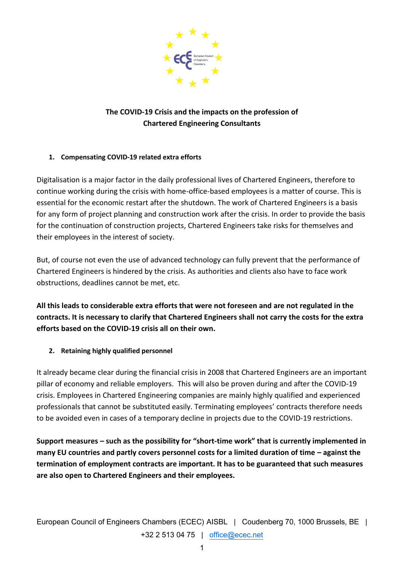

## **The COVID-19 Crisis and the impacts on the profession of Chartered Engineering Consultants**

## **1. Compensating COVID-19 related extra efforts**

Digitalisation is a major factor in the daily professional lives of Chartered Engineers, therefore to continue working during the crisis with home-office-based employees is a matter of course. This is essential for the economic restart after the shutdown. The work of Chartered Engineers is a basis for any form of project planning and construction work after the crisis. In order to provide the basis for the continuation of construction projects, Chartered Engineers take risks for themselves and their employees in the interest of society.

But, of course not even the use of advanced technology can fully prevent that the performance of Chartered Engineers is hindered by the crisis. As authorities and clients also have to face work obstructions, deadlines cannot be met, etc.

**All this leads to considerable extra efforts that were not foreseen and are not regulated in the contracts. It is necessary to clarify that Chartered Engineers shall not carry the costs for the extra efforts based on the COVID-19 crisis all on their own.**

## **2. Retaining highly qualified personnel**

It already became clear during the financial crisis in 2008 that Chartered Engineers are an important pillar of economy and reliable employers. This will also be proven during and after the COVID-19 crisis. Employees in Chartered Engineering companies are mainly highly qualified and experienced professionals that cannot be substituted easily. Terminating employees' contracts therefore needs to be avoided even in cases of a temporary decline in projects due to the COVID-19 restrictions.

**Support measures – such as the possibility for "short-time work" that is currently implemented in many EU countries and partly covers personnel costs for a limited duration of time – against the termination of employment contracts are important. It has to be guaranteed that such measures are also open to Chartered Engineers and their employees.**

European Council of Engineers Chambers (ECEC) AISBL | Coudenberg 70, 1000 Brussels, BE | +32 2 513 04 75 | [office@ecec.net](mailto:office@ecec.net)